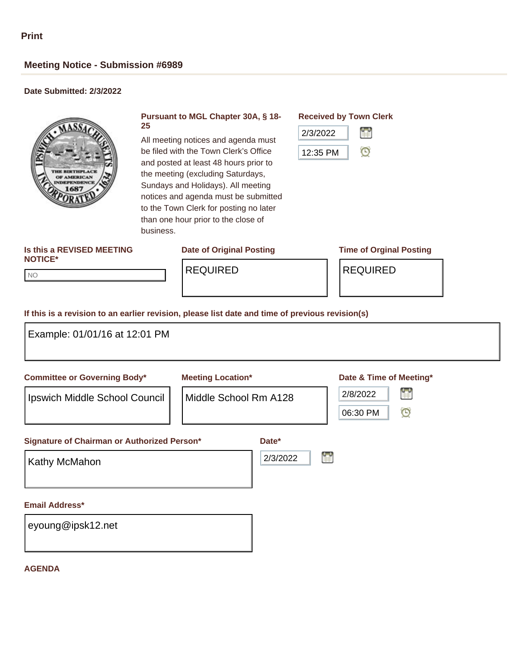NO NO

## **Meeting Notice - Submission #6989**

### **Date Submitted: 2/3/2022**



#### **Pursuant to MGL Chapter 30A, § 18- 25**

All meeting notices and agenda must be filed with the Town Clerk's Office and posted at least 48 hours prior to the meeting (excluding Saturdays, Sundays and Holidays). All meeting notices and agenda must be submitted to the Town Clerk for posting no later than one hour prior to the close of business.

# **Is this a REVISED MEETING**

#### **Received by Town Clerk**



# **NOTICE\***

### **Date of Original Posting Time of Orginal Posting**

REQUIRED | REQUIRED

#### **If this is a revision to an earlier revision, please list date and time of previous revision(s)**

| Example: 01/01/16 at 12:01 PM                                        |                                                   |                   |   |                                                                           |  |  |
|----------------------------------------------------------------------|---------------------------------------------------|-------------------|---|---------------------------------------------------------------------------|--|--|
| <b>Committee or Governing Body*</b><br>Ipswich Middle School Council | <b>Meeting Location*</b><br>Middle School Rm A128 |                   |   | Date & Time of Meeting*<br>Ľ<br>2/8/2022<br>$\mathbf{\Theta}$<br>06:30 PM |  |  |
| Signature of Chairman or Authorized Person*<br><b>Kathy McMahon</b>  |                                                   | Date*<br>2/3/2022 | H |                                                                           |  |  |
| Email Address*<br>eyoung@ipsk12.net                                  |                                                   |                   |   |                                                                           |  |  |

#### **AGENDA**